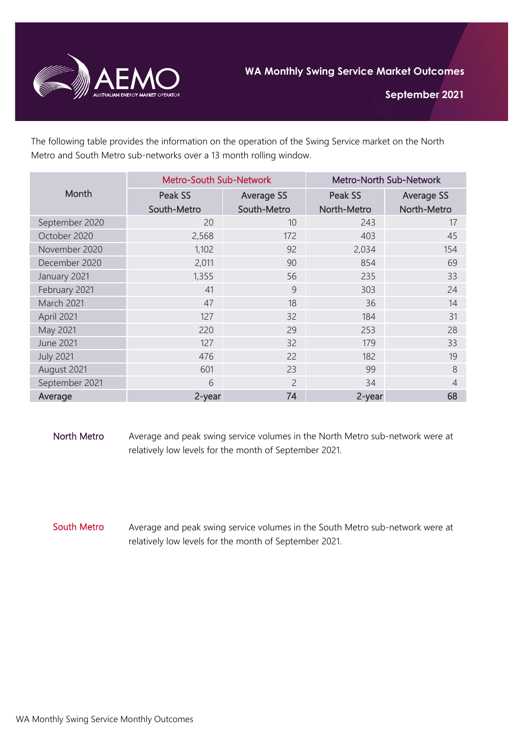

**September 2021**

The following table provides the information on the operation of the Swing Service market on the North Metro and South Metro sub-networks over a 13 month rolling window.

| Month            | <b>Metro-South Sub-Network</b> |                   | <b>Metro-North Sub-Network</b> |                   |
|------------------|--------------------------------|-------------------|--------------------------------|-------------------|
|                  | Peak SS                        | <b>Average SS</b> | Peak SS                        | <b>Average SS</b> |
|                  | South-Metro                    | South-Metro       | North-Metro                    | North-Metro       |
| September 2020   | 20                             | 10                | 243                            | 17                |
| October 2020     | 2,568                          | 172               | 403                            | 45                |
| November 2020    | 1,102                          | 92                | 2,034                          | 154               |
| December 2020    | 2,011                          | 90                | 854                            | 69                |
| January 2021     | 1,355                          | 56                | 235                            | 33                |
| February 2021    | 41                             | 9                 | 303                            | 24                |
| March 2021       | 47                             | 18                | 36                             | 14                |
| April 2021       | 127                            | 32                | 184                            | 31                |
| May 2021         | 220                            | 29                | 253                            | 28                |
| <b>June 2021</b> | 127                            | 32                | 179                            | 33                |
| <b>July 2021</b> | 476                            | 22                | 182                            | 19                |
| August 2021      | 601                            | 23                | 99                             | 8                 |
| September 2021   | 6                              | $\overline{c}$    | 34                             | $\overline{4}$    |
| Average          | 2-year                         | 74                | 2-year                         | 68                |

North Metro Average and peak swing service volumes in the North Metro sub-network were at relatively low levels for the month of September 2021.

South Metro Average and peak swing service volumes in the South Metro sub-network were at relatively low levels for the month of September 2021.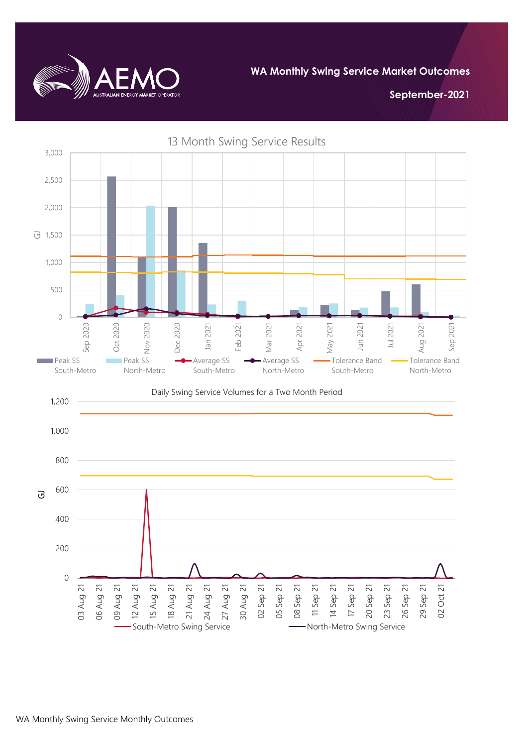

**WA Monthly Swing Service Market Outcomes**

**September-2021**